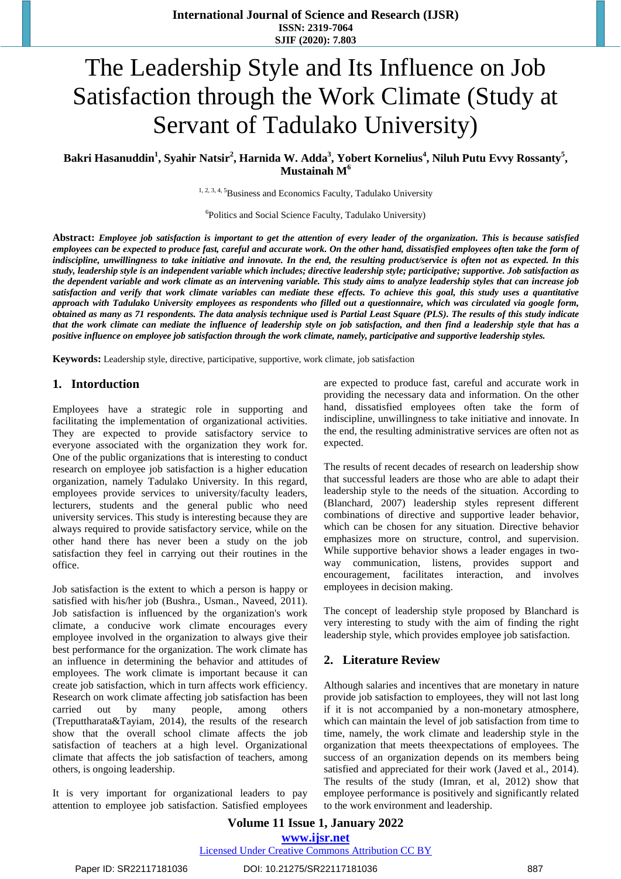# The Leadership Style and Its Influence on Job Satisfaction through the Work Climate (Study at Servant of Tadulako University)

**Bakri Hasanuddin<sup>1</sup> , Syahir Natsir<sup>2</sup> , Harnida W. Adda<sup>3</sup> , Yobert Kornelius<sup>4</sup> , Niluh Putu Evvy Rossanty<sup>5</sup> , Mustainah M<sup>6</sup>**

<sup>1, 2, 3, 4, 5</sup>Business and Economics Faculty, Tadulako University

6 Politics and Social Science Faculty, Tadulako University)

Abstract: Employee job satisfaction is important to get the attention of every leader of the organization. This is because satisfied employees can be expected to produce fast, careful and accurate work. On the other hand, dissatisfied employees often take the form of indiscipline, unwillingness to take initiative and innovate. In the end, the resulting product/service is often not as expected. In this study, leadership style is an independent variable which includes; directive leadership style; participative; supportive. Job satisfaction as the dependent variable and work climate as an intervening variable. This study aims to analyze leadership styles that can increase job satisfaction and verify that work climate variables can mediate these effects. To achieve this goal, this study uses a quantitative approach with Tadulako University employees as respondents who filled out a questionnaire, which was circulated via google form, obtained as many as 71 respondents. The data analysis technique used is Partial Least Square (PLS). The results of this study indicate that the work climate can mediate the influence of leadership style on job satisfaction, and then find a leadership style that has a positive influence on employee job satisfaction through the work climate, namely, participative and supportive leadership styles.

**Keywords:** Leadership style, directive, participative, supportive, work climate, job satisfaction

#### **1. Intorduction**

Employees have a strategic role in supporting and facilitating the implementation of organizational activities. They are expected to provide satisfactory service to everyone associated with the organization they work for. One of the public organizations that is interesting to conduct research on employee job satisfaction is a higher education organization, namely Tadulako University. In this regard, employees provide services to university/faculty leaders, lecturers, students and the general public who need university services. This study is interesting because they are always required to provide satisfactory service, while on the other hand there has never been a study on the job satisfaction they feel in carrying out their routines in the office.

Job satisfaction is the extent to which a person is happy or satisfied with his/her job (Bushra., Usman., Naveed, 2011). Job satisfaction is influenced by the organization's work climate, a conducive work climate encourages every employee involved in the organization to always give their best performance for the organization. The work climate has an influence in determining the behavior and attitudes of employees. The work climate is important because it can create job satisfaction, which in turn affects work efficiency. Research on work climate affecting job satisfaction has been carried out by many people, among others (Treputtharata&Tayiam, 2014), the results of the research show that the overall school climate affects the job satisfaction of teachers at a high level. Organizational climate that affects the job satisfaction of teachers, among others, is ongoing leadership.

It is very important for organizational leaders to pay attention to employee job satisfaction. Satisfied employees are expected to produce fast, careful and accurate work in providing the necessary data and information. On the other hand, dissatisfied employees often take the form of indiscipline, unwillingness to take initiative and innovate. In the end, the resulting administrative services are often not as expected.

The results of recent decades of research on leadership show that successful leaders are those who are able to adapt their leadership style to the needs of the situation. According to (Blanchard, 2007) leadership styles represent different combinations of directive and supportive leader behavior, which can be chosen for any situation. Directive behavior emphasizes more on structure, control, and supervision. While supportive behavior shows a leader engages in twoway communication, listens, provides support and encouragement, facilitates interaction, and involves employees in decision making.

The concept of leadership style proposed by Blanchard is very interesting to study with the aim of finding the right leadership style, which provides employee job satisfaction.

#### **2. Literature Review**

Although salaries and incentives that are monetary in nature provide job satisfaction to employees, they will not last long if it is not accompanied by a non-monetary atmosphere, which can maintain the level of job satisfaction from time to time, namely, the work climate and leadership style in the organization that meets theexpectations of employees. The success of an organization depends on its members being satisfied and appreciated for their work (Javed et al., 2014). The results of the study (Imran, et al, 2012) show that employee performance is positively and significantly related to the work environment and leadership.

**Volume 11 Issue 1, January 2022 www.ijsr.net** Licensed Under Creative Commons Attribution CC BY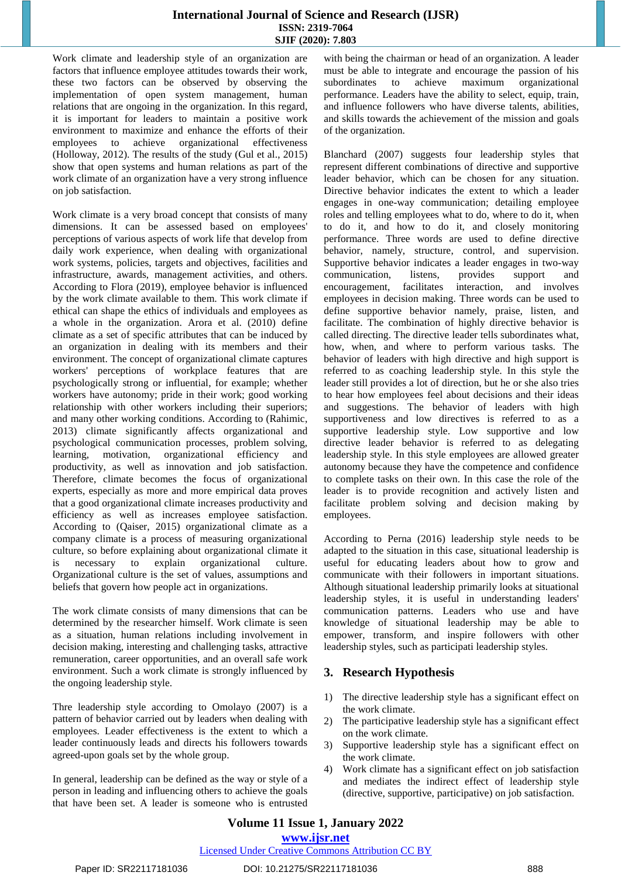#### **International Journal of Science and Research (IJSR) ISSN: 2319-7064 SJIF (2020): 7.803**

Work climate and leadership style of an organization are factors that influence employee attitudes towards their work, these two factors can be observed by observing the implementation of open system management, human relations that are ongoing in the organization. In this regard, it is important for leaders to maintain a positive work environment to maximize and enhance the efforts of their employees to achieve organizational effectiveness (Holloway, 2012). The results of the study (Gul et al., 2015) show that open systems and human relations as part of the work climate of an organization have a very strong influence on job satisfaction.

Work climate is a very broad concept that consists of many dimensions. It can be assessed based on employees' perceptions of various aspects of work life that develop from daily work experience, when dealing with organizational work systems, policies, targets and objectives, facilities and infrastructure, awards, management activities, and others. According to Flora (2019), employee behavior is influenced by the work climate available to them. This work climate if ethical can shape the ethics of individuals and employees as a whole in the organization. Arora et al. (2010) define climate as a set of specific attributes that can be induced by an organization in dealing with its members and their environment. The concept of organizational climate captures workers' perceptions of workplace features that are psychologically strong or influential, for example; whether workers have autonomy; pride in their work; good working relationship with other workers including their superiors; and many other working conditions. According to (Rahimic, 2013) climate significantly affects organizational and psychological communication processes, problem solving, learning, motivation, organizational efficiency and productivity, as well as innovation and job satisfaction. Therefore, climate becomes the focus of organizational experts, especially as more and more empirical data proves that a good organizational climate increases productivity and efficiency as well as increases employee satisfaction. According to (Qaiser, 2015) organizational climate as a company climate is a process of measuring organizational culture, so before explaining about organizational climate it is necessary to explain organizational culture. Organizational culture is the set of values, assumptions and beliefs that govern how people act in organizations.

The work climate consists of many dimensions that can be determined by the researcher himself. Work climate is seen as a situation, human relations including involvement in decision making, interesting and challenging tasks, attractive remuneration, career opportunities, and an overall safe work environment. Such a work climate is strongly influenced by the ongoing leadership style.

Thre leadership style according to Omolayo (2007) is a pattern of behavior carried out by leaders when dealing with employees. Leader effectiveness is the extent to which a leader continuously leads and directs his followers towards agreed-upon goals set by the whole group.

In general, leadership can be defined as the way or style of a person in leading and influencing others to achieve the goals that have been set. A leader is someone who is entrusted with being the chairman or head of an organization. A leader must be able to integrate and encourage the passion of his subordinates to achieve maximum organizational performance. Leaders have the ability to select, equip, train, and influence followers who have diverse talents, abilities, and skills towards the achievement of the mission and goals of the organization.

Blanchard (2007) suggests four leadership styles that represent different combinations of directive and supportive leader behavior, which can be chosen for any situation. Directive behavior indicates the extent to which a leader engages in one-way communication; detailing employee roles and telling employees what to do, where to do it, when to do it, and how to do it, and closely monitoring performance. Three words are used to define directive behavior, namely, structure, control, and supervision. Supportive behavior indicates a leader engages in two-way communication, listens, provides support and encouragement, facilitates interaction, and involves employees in decision making. Three words can be used to define supportive behavior namely, praise, listen, and facilitate. The combination of highly directive behavior is called directing. The directive leader tells subordinates what, how, when, and where to perform various tasks. The behavior of leaders with high directive and high support is referred to as coaching leadership style. In this style the leader still provides a lot of direction, but he or she also tries to hear how employees feel about decisions and their ideas and suggestions. The behavior of leaders with high supportiveness and low directives is referred to as a supportive leadership style. Low supportive and low directive leader behavior is referred to as delegating leadership style. In this style employees are allowed greater autonomy because they have the competence and confidence to complete tasks on their own. In this case the role of the leader is to provide recognition and actively listen and facilitate problem solving and decision making by employees.

According to Perna (2016) leadership style needs to be adapted to the situation in this case, situational leadership is useful for educating leaders about how to grow and communicate with their followers in important situations. Although situational leadership primarily looks at situational leadership styles, it is useful in understanding leaders' communication patterns. Leaders who use and have knowledge of situational leadership may be able to empower, transform, and inspire followers with other leadership styles, such as participati leadership styles.

# **3. Research Hypothesis**

- 1) The directive leadership style has a significant effect on the work climate.
- 2) The participative leadership style has a significant effect on the work climate.
- 3) Supportive leadership style has a significant effect on the work climate.
- 4) Work climate has a significant effect on job satisfaction and mediates the indirect effect of leadership style (directive, supportive, participative) on job satisfaction.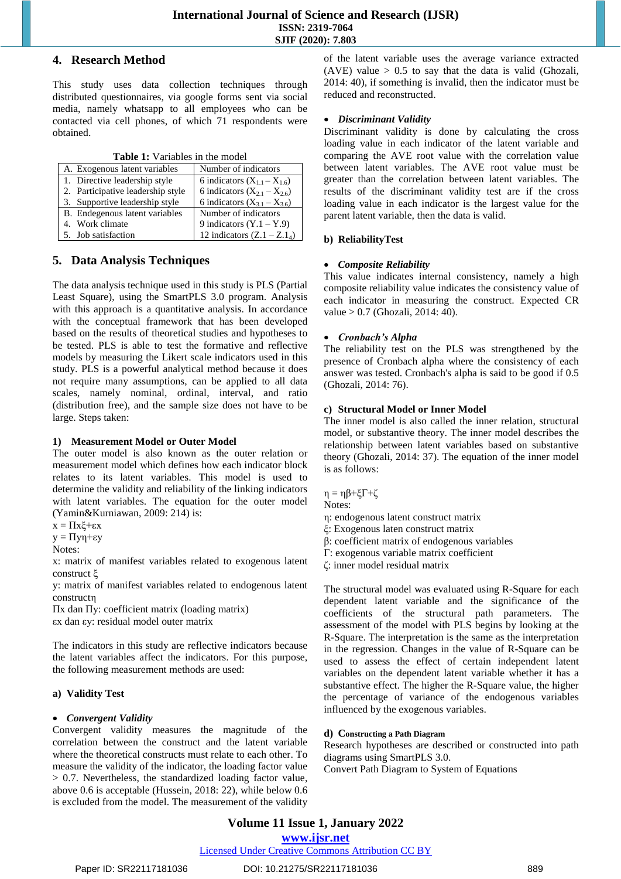#### **4. Research Method**

This study uses data collection techniques through distributed questionnaires, via google forms sent via social media, namely whatsapp to all employees who can be contacted via cell phones, of which 71 respondents were obtained.

|  |  | <b>Table 1:</b> Variables in the model |  |  |
|--|--|----------------------------------------|--|--|
|--|--|----------------------------------------|--|--|

| <b>rapic 1.</b> Variables in the moder |                                    |  |
|----------------------------------------|------------------------------------|--|
| A. Exogenous latent variables          | Number of indicators               |  |
| 1. Directive leadership style          | 6 indicators $(X_{1,1} - X_{1,6})$ |  |
| 2. Participative leadership style      | 6 indicators $(X_{21} - X_{26})$   |  |
| 3. Supportive leadership style         | 6 indicators $(X_{3,1} - X_{3,6})$ |  |
| B. Endegenous latent variables         | Number of indicators               |  |
| 4. Work climate                        | 9 indicators $(Y.1 - Y.9)$         |  |
| 5. Job satisfaction                    | 12 indicators $(Z.1 - Z.14)$       |  |

# **5. Data Analysis Techniques**

The data analysis technique used in this study is PLS (Partial Least Square), using the SmartPLS 3.0 program. Analysis with this approach is a quantitative analysis. In accordance with the conceptual framework that has been developed based on the results of theoretical studies and hypotheses to be tested. PLS is able to test the formative and reflective models by measuring the Likert scale indicators used in this study. PLS is a powerful analytical method because it does not require many assumptions, can be applied to all data scales, namely nominal, ordinal, interval, and ratio (distribution free), and the sample size does not have to be large. Steps taken:

#### **1) Measurement Model or Outer Model**

The outer model is also known as the outer relation or measurement model which defines how each indicator block relates to its latent variables. This model is used to determine the validity and reliability of the linking indicators with latent variables. The equation for the outer model (Yamin&Kurniawan, 2009: 214) is:

$$
x=\Pi x\xi+\epsilon x
$$

y = Πyη+εy

```
Notes:
```
x: matrix of manifest variables related to exogenous latent construct ξ

y: matrix of manifest variables related to endogenous latent constructη

Πx dan Πy: coefficient matrix (loading matrix) εx dan εy: residual model outer matrix

The indicators in this study are reflective indicators because the latent variables affect the indicators. For this purpose, the following measurement methods are used:

#### **a) Validity Test**

#### *Convergent Validity*

Convergent validity measures the magnitude of the correlation between the construct and the latent variable where the theoretical constructs must relate to each other. To measure the validity of the indicator, the loading factor value > 0.7. Nevertheless, the standardized loading factor value, above 0.6 is acceptable (Hussein, 2018: 22), while below 0.6 is excluded from the model. The measurement of the validity

of the latent variable uses the average variance extracted (AVE) value  $> 0.5$  to say that the data is valid (Ghozali, 2014: 40), if something is invalid, then the indicator must be reduced and reconstructed.

#### *Discriminant Validity*

Discriminant validity is done by calculating the cross loading value in each indicator of the latent variable and comparing the AVE root value with the correlation value between latent variables. The AVE root value must be greater than the correlation between latent variables. The results of the discriminant validity test are if the cross loading value in each indicator is the largest value for the parent latent variable, then the data is valid.

#### **b) ReliabilityTest**

#### *Composite Reliability*

This value indicates internal consistency, namely a high composite reliability value indicates the consistency value of each indicator in measuring the construct. Expected CR value > 0.7 (Ghozali, 2014: 40).

#### *Cronbach's Alpha*

The reliability test on the PLS was strengthened by the presence of Cronbach alpha where the consistency of each answer was tested. Cronbach's alpha is said to be good if 0.5 (Ghozali, 2014: 76).

#### **c) Structural Model or Inner Model**

The inner model is also called the inner relation, structural model, or substantive theory. The inner model describes the relationship between latent variables based on substantive theory (Ghozali, 2014: 37). The equation of the inner model is as follows:

 $η = ηβ + ξΓ + ζ$ 

- Notes:
- η: endogenous latent construct matrix
- ξ: Exogenous laten construct matrix
- β: coefficient matrix of endogenous variables
- Г: exogenous variable matrix coefficient
- ζ: inner model residual matrix

The structural model was evaluated using R-Square for each dependent latent variable and the significance of the coefficients of the structural path parameters. The assessment of the model with PLS begins by looking at the R-Square. The interpretation is the same as the interpretation in the regression. Changes in the value of R-Square can be used to assess the effect of certain independent latent variables on the dependent latent variable whether it has a substantive effect. The higher the R-Square value, the higher the percentage of variance of the endogenous variables influenced by the exogenous variables.

#### **d) Constructing a Path Diagram**

Research hypotheses are described or constructed into path diagrams using SmartPLS 3.0.

Convert Path Diagram to System of Equations

# **Volume 11 Issue 1, January 2022**

**www.ijsr.net**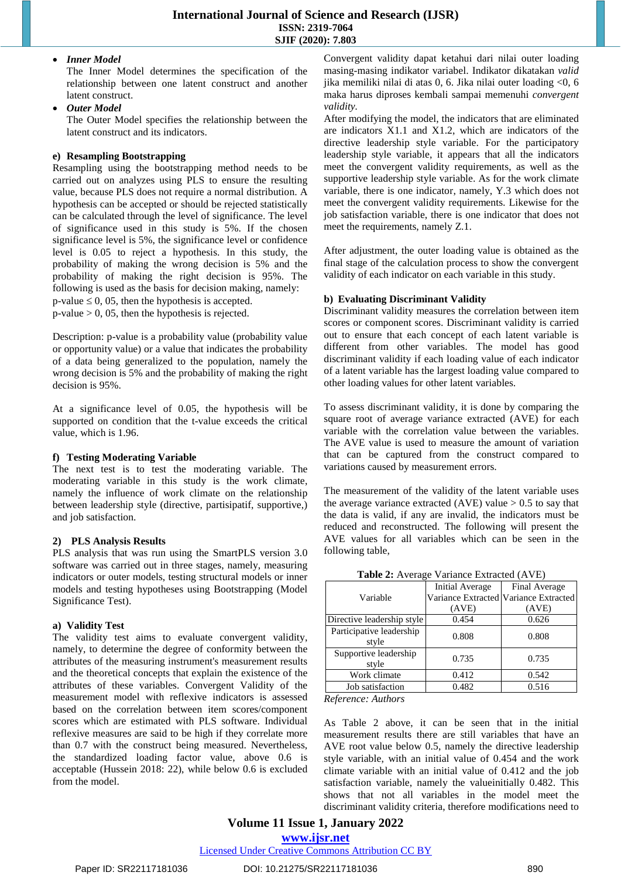#### *Inner Model*

The Inner Model determines the specification of the relationship between one latent construct and another latent construct.

*Outer Model*

The Outer Model specifies the relationship between the latent construct and its indicators.

#### **e) Resampling Bootstrapping**

Resampling using the bootstrapping method needs to be carried out on analyzes using PLS to ensure the resulting value, because PLS does not require a normal distribution. A hypothesis can be accepted or should be rejected statistically can be calculated through the level of significance. The level of significance used in this study is 5%. If the chosen significance level is 5%, the significance level or confidence level is 0.05 to reject a hypothesis. In this study, the probability of making the wrong decision is 5% and the probability of making the right decision is 95%. The following is used as the basis for decision making, namely:  $p$ -value  $\leq 0$ , 05, then the hypothesis is accepted.  $p-value > 0$ , 05, then the hypothesis is rejected.

Description: p-value is a probability value (probability value or opportunity value) or a value that indicates the probability of a data being generalized to the population, namely the wrong decision is 5% and the probability of making the right decision is 95%.

At a significance level of 0.05, the hypothesis will be supported on condition that the t-value exceeds the critical value, which is 1.96.

#### **f) Testing Moderating Variable**

The next test is to test the moderating variable. The moderating variable in this study is the work climate, namely the influence of work climate on the relationship between leadership style (directive, partisipatif, supportive,) and job satisfaction.

#### **2) PLS Analysis Results**

PLS analysis that was run using the SmartPLS version 3.0 software was carried out in three stages, namely, measuring indicators or outer models, testing structural models or inner models and testing hypotheses using Bootstrapping (Model Significance Test).

#### **a) Validity Test**

The validity test aims to evaluate convergent validity, namely, to determine the degree of conformity between the attributes of the measuring instrument's measurement results and the theoretical concepts that explain the existence of the attributes of these variables. Convergent Validity of the measurement model with reflexive indicators is assessed based on the correlation between item scores/component scores which are estimated with PLS software. Individual reflexive measures are said to be high if they correlate more than 0.7 with the construct being measured. Nevertheless, the standardized loading factor value, above 0.6 is acceptable (Hussein 2018: 22), while below 0.6 is excluded from the model.

Convergent validity dapat ketahui dari nilai outer loading masing-masing indikator variabel. Indikator dikatakan *valid* jika memiliki nilai di atas 0, 6. Jika nilai outer loading <0, 6 maka harus diproses kembali sampai memenuhi *convergent validity.* 

After modifying the model, the indicators that are eliminated are indicators X1.1 and X1.2, which are indicators of the directive leadership style variable. For the participatory leadership style variable, it appears that all the indicators meet the convergent validity requirements, as well as the supportive leadership style variable. As for the work climate variable, there is one indicator, namely, Y.3 which does not meet the convergent validity requirements. Likewise for the job satisfaction variable, there is one indicator that does not meet the requirements, namely Z.1.

After adjustment, the outer loading value is obtained as the final stage of the calculation process to show the convergent validity of each indicator on each variable in this study.

# **b) Evaluating Discriminant Validity**

Discriminant validity measures the correlation between item scores or component scores. Discriminant validity is carried out to ensure that each concept of each latent variable is different from other variables. The model has good discriminant validity if each loading value of each indicator of a latent variable has the largest loading value compared to other loading values for other latent variables.

To assess discriminant validity, it is done by comparing the square root of average variance extracted (AVE) for each variable with the correlation value between the variables. The AVE value is used to measure the amount of variation that can be captured from the construct compared to variations caused by measurement errors.

The measurement of the validity of the latent variable uses the average variance extracted (AVE) value  $> 0.5$  to say that the data is valid, if any are invalid, the indicators must be reduced and reconstructed. The following will present the AVE values for all variables which can be seen in the following table,

| <b>Tuble 2.</b> Therage candide $\text{m}$ and $\text{m}$ |                 |                                       |
|-----------------------------------------------------------|-----------------|---------------------------------------|
|                                                           | Initial Average | Final Average                         |
| Variable                                                  |                 | Variance Extracted Variance Extracted |
|                                                           | (AVE)           | (AVE)                                 |
| Directive leadership style                                | 0.454           | 0.626                                 |
| Participative leadership                                  | 0.808           | 0.808                                 |
| style                                                     |                 |                                       |
| Supportive leadership                                     | 0.735           | 0.735                                 |
| style                                                     |                 |                                       |
| Work climate                                              | 0.412           | 0.542                                 |
| Job satisfaction                                          | 0.482           | 0.516                                 |
|                                                           |                 |                                       |

**Table 2:** Average Variance Extracted (AVE)

*Reference: Authors*

As Table 2 above, it can be seen that in the initial measurement results there are still variables that have an AVE root value below 0.5, namely the directive leadership style variable, with an initial value of 0.454 and the work climate variable with an initial value of 0.412 and the job satisfaction variable, namely the valueinitially 0.482. This shows that not all variables in the model meet the discriminant validity criteria, therefore modifications need to

# **Volume 11 Issue 1, January 2022**

**www.ijsr.net**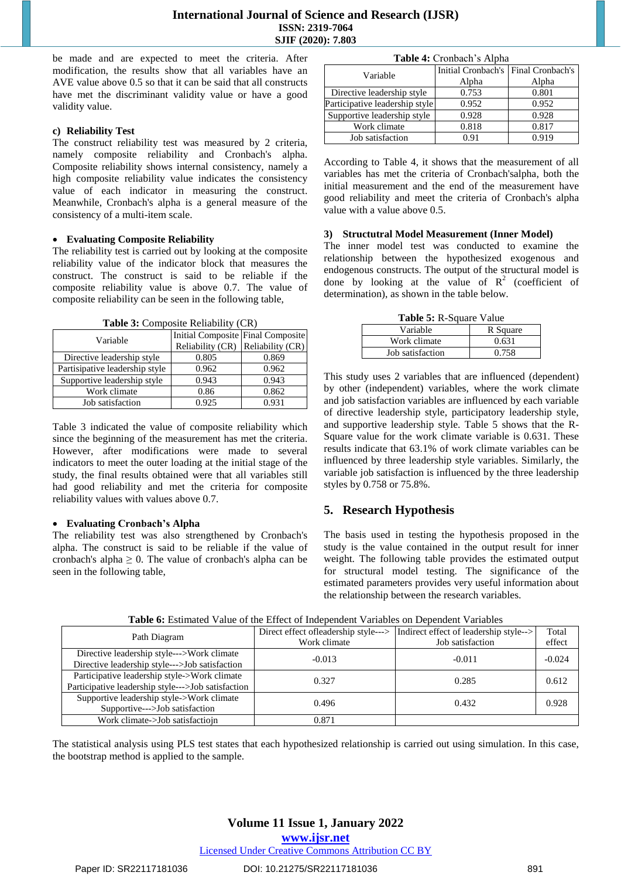be made and are expected to meet the criteria. After modification, the results show that all variables have an AVE value above 0.5 so that it can be said that all constructs have met the discriminant validity value or have a good validity value.

#### **c) Reliability Test**

The construct reliability test was measured by 2 criteria, namely composite reliability and Cronbach's alpha. Composite reliability shows internal consistency, namely a high composite reliability value indicates the consistency value of each indicator in measuring the construct. Meanwhile, Cronbach's alpha is a general measure of the consistency of a multi-item scale.

#### **Evaluating Composite Reliability**

The reliability test is carried out by looking at the composite reliability value of the indicator block that measures the construct. The construct is said to be reliable if the composite reliability value is above 0.7. The value of composite reliability can be seen in the following table,

**Table 3:** Composite Reliability (CR)

| Variable                       | Initial Composite Final Composite |       |
|--------------------------------|-----------------------------------|-------|
|                                | Reliability (CR) Reliability (CR) |       |
| Directive leadership style     | 0.805                             | 0.869 |
| Partisipative leadership style | 0.962                             | 0.962 |
| Supportive leadership style    | 0.943                             | 0.943 |
| Work climate                   | 0.86                              | 0.862 |
| Job satisfaction               | 0.925                             | 0.931 |

Table 3 indicated the value of composite reliability which since the beginning of the measurement has met the criteria. However, after modifications were made to several indicators to meet the outer loading at the initial stage of the study, the final results obtained were that all variables still had good reliability and met the criteria for composite reliability values with values above 0.7.

#### **Evaluating Cronbach's Alpha**

The reliability test was also strengthened by Cronbach's alpha. The construct is said to be reliable if the value of cronbach's alpha  $\geq 0$ . The value of cronbach's alpha can be seen in the following table,

| Table 4: Cronbach's Alpha      |                                     |       |  |
|--------------------------------|-------------------------------------|-------|--|
| Variable                       | Initial Cronbach's Final Cronbach's |       |  |
|                                | Alpha                               | Alpha |  |
| Directive leadership style     | 0.753                               | 0.801 |  |
| Participative leadership style | 0.952                               | 0.952 |  |
| Supportive leadership style    | 0.928                               | 0.928 |  |
| Work climate                   | 0.818                               | 0.817 |  |
| Job satisfaction               | 0.91                                | 0.919 |  |

According to Table 4, it shows that the measurement of all variables has met the criteria of Cronbach'salpha, both the initial measurement and the end of the measurement have good reliability and meet the criteria of Cronbach's alpha value with a value above 0.5.

#### **3) Structutral Model Measurement (Inner Model)**

The inner model test was conducted to examine the relationship between the hypothesized exogenous and endogenous constructs. The output of the structural model is done by looking at the value of  $R^2$  (coefficient of determination), as shown in the table below.

| Table 5: R-Square Value |          |
|-------------------------|----------|
| Variable                | R Square |
| Work climate            | 0.631    |
| Job satisfaction        | 0.758    |

This study uses 2 variables that are influenced (dependent) by other (independent) variables, where the work climate and job satisfaction variables are influenced by each variable of directive leadership style, participatory leadership style, and supportive leadership style. Table 5 shows that the R-Square value for the work climate variable is 0.631. These results indicate that 63.1% of work climate variables can be influenced by three leadership style variables. Similarly, the variable job satisfaction is influenced by the three leadership styles by 0.758 or 75.8%.

#### **5. Research Hypothesis**

The basis used in testing the hypothesis proposed in the study is the value contained in the output result for inner weight. The following table provides the estimated output for structural model testing. The significance of the estimated parameters provides very useful information about the relationship between the research variables.

|                                                    | Direct effect ofleadership style---> | Indirect effect of leadership style--> | Total    |
|----------------------------------------------------|--------------------------------------|----------------------------------------|----------|
| Path Diagram                                       | Work climate                         | Job satisfaction                       | effect   |
| Directive leadership style--->Work climate         | $-0.013$                             | $-0.011$                               | $-0.024$ |
| Directive leadership style--->Job satisfaction     |                                      |                                        |          |
| Participative leadership style->Work climate       | 0.327                                | 0.285                                  | 0.612    |
| Participative leadership style--->Job satisfaction |                                      |                                        |          |
| Supportive leadership style->Work climate          | 0.496                                | 0.432                                  | 0.928    |
| Supportive--->Job satisfaction                     |                                      |                                        |          |
| Work climate->Job satisfactiojn                    | 0.871                                |                                        |          |

**Table 6:** Estimated Value of the Effect of Independent Variables on Dependent Variables

The statistical analysis using PLS test states that each hypothesized relationship is carried out using simulation. In this case, the bootstrap method is applied to the sample.

# **Volume 11 Issue 1, January 2022**

**www.ijsr.net**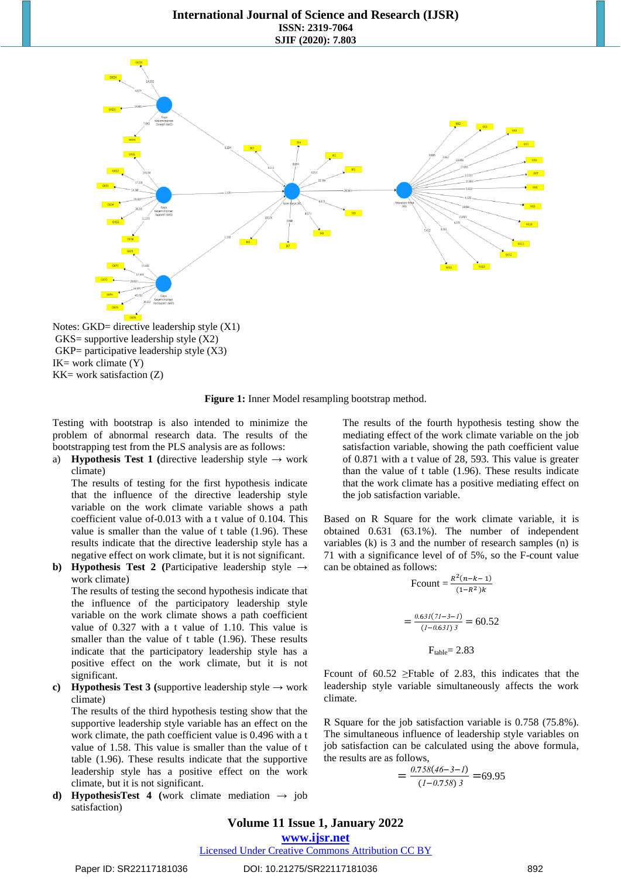

Notes: GKD= directive leadership style  $(X1)$ GKS= supportive leadership style (X2)  $GKP=$  participative leadership style  $(X3)$  $IK = work$  climate  $(Y)$  $KK =$  work satisfaction  $(Z)$ 



Testing with bootstrap is also intended to minimize the problem of abnormal research data. The results of the bootstrapping test from the PLS analysis are as follows:

a) **Hypothesis Test 1** (directive leadership style  $\rightarrow$  work climate)

The results of testing for the first hypothesis indicate that the influence of the directive leadership style variable on the work climate variable shows a path coefficient value of-0.013 with a t value of 0.104. This value is smaller than the value of t table (1.96). These results indicate that the directive leadership style has a negative effect on work climate, but it is not significant.

**b) Hypothesis Test 2** (Participative leadership style  $\rightarrow$ work climate)

The results of testing the second hypothesis indicate that the influence of the participatory leadership style variable on the work climate shows a path coefficient value of 0.327 with a t value of 1.10. This value is smaller than the value of t table (1.96). These results indicate that the participatory leadership style has a positive effect on the work climate, but it is not significant.

**c) Hypothesis Test 3** (supportive leadership style  $\rightarrow$  work climate)

The results of the third hypothesis testing show that the supportive leadership style variable has an effect on the work climate, the path coefficient value is 0.496 with a t value of 1.58. This value is smaller than the value of t table (1.96). These results indicate that the supportive leadership style has a positive effect on the work climate, but it is not significant.

**d) HypothesisTest 4** (work climate mediation  $\rightarrow$  job satisfaction)

The results of the fourth hypothesis testing show the mediating effect of the work climate variable on the job satisfaction variable, showing the path coefficient value of 0.871 with a t value of 28, 593. This value is greater than the value of t table (1.96). These results indicate that the work climate has a positive mediating effect on the job satisfaction variable.

Based on R Square for the work climate variable, it is obtained 0.631 (63.1%). The number of independent variables (k) is 3 and the number of research samples (n) is 71 with a significance level of of 5%, so the F-count value can be obtained as follows:

$$
\text{Fcount} = \frac{R^2(n-k-1)}{(1-R^2)k}
$$
\n
$$
= \frac{0.63I(7I-3-I)}{(I-0.63I)^3} = 60.52
$$
\n
$$
\text{F}_{\text{table}} = 2.83
$$

Fcount of 60.52 ≥Ftable of 2.83, this indicates that the leadership style variable simultaneously affects the work climate.

R Square for the job satisfaction variable is 0.758 (75.8%). The simultaneous influence of leadership style variables on job satisfaction can be calculated using the above formula, the results are as follows,

$$
=\frac{0.758(46-3-1)}{(1-0.758)3} = 69.95
$$

#### **Volume 11 Issue 1, January 2022**

**www.ijsr.net**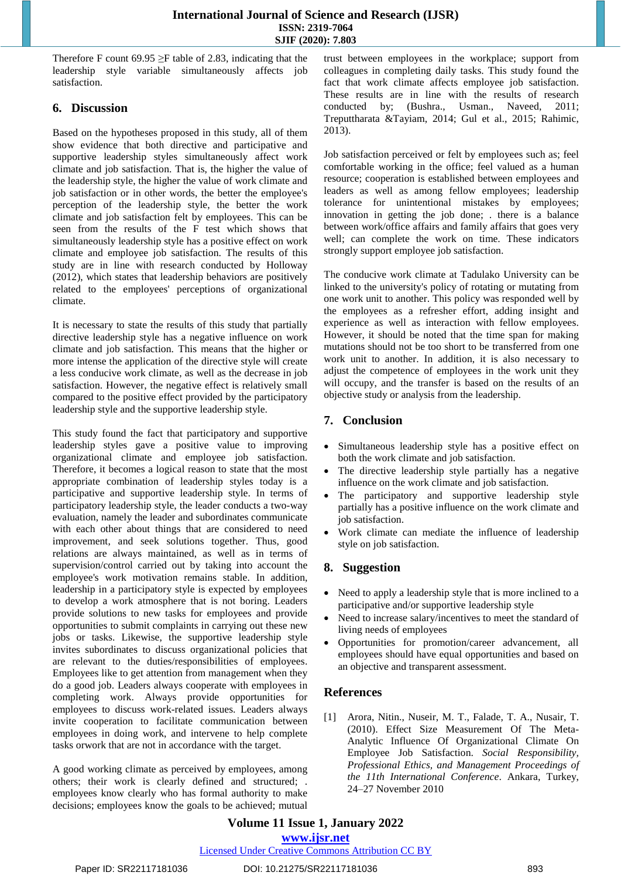Therefore F count 69.95  $\geq$ F table of 2.83, indicating that the leadership style variable simultaneously affects job satisfaction.

# **6. Discussion**

Based on the hypotheses proposed in this study, all of them show evidence that both directive and participative and supportive leadership styles simultaneously affect work climate and job satisfaction. That is, the higher the value of the leadership style, the higher the value of work climate and job satisfaction or in other words, the better the employee's perception of the leadership style, the better the work climate and job satisfaction felt by employees. This can be seen from the results of the F test which shows that simultaneously leadership style has a positive effect on work climate and employee job satisfaction. The results of this study are in line with research conducted by Holloway (2012), which states that leadership behaviors are positively related to the employees' perceptions of organizational climate.

It is necessary to state the results of this study that partially directive leadership style has a negative influence on work climate and job satisfaction. This means that the higher or more intense the application of the directive style will create a less conducive work climate, as well as the decrease in job satisfaction. However, the negative effect is relatively small compared to the positive effect provided by the participatory leadership style and the supportive leadership style.

This study found the fact that participatory and supportive leadership styles gave a positive value to improving organizational climate and employee job satisfaction. Therefore, it becomes a logical reason to state that the most appropriate combination of leadership styles today is a participative and supportive leadership style. In terms of participatory leadership style, the leader conducts a two-way evaluation, namely the leader and subordinates communicate with each other about things that are considered to need improvement, and seek solutions together. Thus, good relations are always maintained, as well as in terms of supervision/control carried out by taking into account the employee's work motivation remains stable. In addition, leadership in a participatory style is expected by employees to develop a work atmosphere that is not boring. Leaders provide solutions to new tasks for employees and provide opportunities to submit complaints in carrying out these new jobs or tasks. Likewise, the supportive leadership style invites subordinates to discuss organizational policies that are relevant to the duties/responsibilities of employees. Employees like to get attention from management when they do a good job. Leaders always cooperate with employees in completing work. Always provide opportunities for employees to discuss work-related issues. Leaders always invite cooperation to facilitate communication between employees in doing work, and intervene to help complete tasks orwork that are not in accordance with the target.

A good working climate as perceived by employees, among others; their work is clearly defined and structured; . employees know clearly who has formal authority to make decisions; employees know the goals to be achieved; mutual

trust between employees in the workplace; support from colleagues in completing daily tasks. This study found the fact that work climate affects employee job satisfaction. These results are in line with the results of research conducted by; (Bushra., Usman., Naveed, 2011; Treputtharata &Tayiam, 2014; Gul et al., 2015; Rahimic, 2013).

Job satisfaction perceived or felt by employees such as; feel comfortable working in the office; feel valued as a human resource; cooperation is established between employees and leaders as well as among fellow employees; leadership tolerance for unintentional mistakes by employees; innovation in getting the job done; . there is a balance between work/office affairs and family affairs that goes very well; can complete the work on time. These indicators strongly support employee job satisfaction.

The conducive work climate at Tadulako University can be linked to the university's policy of rotating or mutating from one work unit to another. This policy was responded well by the employees as a refresher effort, adding insight and experience as well as interaction with fellow employees. However, it should be noted that the time span for making mutations should not be too short to be transferred from one work unit to another. In addition, it is also necessary to adjust the competence of employees in the work unit they will occupy, and the transfer is based on the results of an objective study or analysis from the leadership.

# **7. Conclusion**

- Simultaneous leadership style has a positive effect on both the work climate and job satisfaction.
- The directive leadership style partially has a negative influence on the work climate and job satisfaction.
- The participatory and supportive leadership style partially has a positive influence on the work climate and job satisfaction.
- Work climate can mediate the influence of leadership style on job satisfaction.

# **8. Suggestion**

- Need to apply a leadership style that is more inclined to a participative and/or supportive leadership style
- Need to increase salary/incentives to meet the standard of living needs of employees
- Opportunities for promotion/career advancement, all employees should have equal opportunities and based on an objective and transparent assessment.

# **References**

[1] Arora, Nitin., Nuseir, M. T., Falade, T. A., Nusair, T. (2010). Effect Size Measurement Of The Meta-Analytic Influence Of Organizational Climate On Employee Job Satisfaction. *Social Responsibility, Professional Ethics, and Management Proceedings of the 11th International Conference*. Ankara, Turkey, 24–27 November 2010

**Volume 11 Issue 1, January 2022 www.ijsr.net** Licensed Under Creative Commons Attribution CC BY